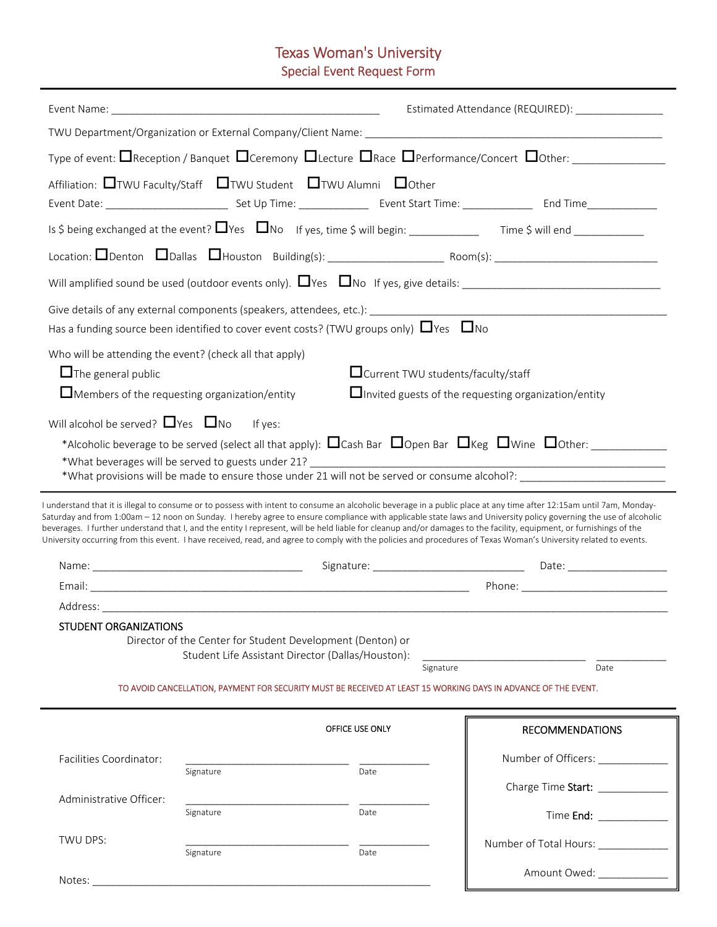# Texas Woman's University

## Special Event Request Form

|                                                                                                                     | Estimated Attendance (REQUIRED): _______________                                                                           |                                      |                                                                                                                                                                                                                                                                                                                                                                                                                                                                                                                                                                                                                                                                                                                                                                                                                                                                                                                                    |
|---------------------------------------------------------------------------------------------------------------------|----------------------------------------------------------------------------------------------------------------------------|--------------------------------------|------------------------------------------------------------------------------------------------------------------------------------------------------------------------------------------------------------------------------------------------------------------------------------------------------------------------------------------------------------------------------------------------------------------------------------------------------------------------------------------------------------------------------------------------------------------------------------------------------------------------------------------------------------------------------------------------------------------------------------------------------------------------------------------------------------------------------------------------------------------------------------------------------------------------------------|
|                                                                                                                     |                                                                                                                            |                                      |                                                                                                                                                                                                                                                                                                                                                                                                                                                                                                                                                                                                                                                                                                                                                                                                                                                                                                                                    |
|                                                                                                                     |                                                                                                                            |                                      |                                                                                                                                                                                                                                                                                                                                                                                                                                                                                                                                                                                                                                                                                                                                                                                                                                                                                                                                    |
|                                                                                                                     | Affiliation: □TWU Faculty/Staff □TWU Student □TWU Alumni □Other                                                            |                                      |                                                                                                                                                                                                                                                                                                                                                                                                                                                                                                                                                                                                                                                                                                                                                                                                                                                                                                                                    |
|                                                                                                                     |                                                                                                                            |                                      |                                                                                                                                                                                                                                                                                                                                                                                                                                                                                                                                                                                                                                                                                                                                                                                                                                                                                                                                    |
|                                                                                                                     |                                                                                                                            |                                      |                                                                                                                                                                                                                                                                                                                                                                                                                                                                                                                                                                                                                                                                                                                                                                                                                                                                                                                                    |
|                                                                                                                     |                                                                                                                            |                                      |                                                                                                                                                                                                                                                                                                                                                                                                                                                                                                                                                                                                                                                                                                                                                                                                                                                                                                                                    |
|                                                                                                                     | Has a funding source been identified to cover event costs? (TWU groups only) $\Box$ Yes $\Box$ No                          |                                      |                                                                                                                                                                                                                                                                                                                                                                                                                                                                                                                                                                                                                                                                                                                                                                                                                                                                                                                                    |
| $\Box$ The general public                                                                                           | Who will be attending the event? (check all that apply)                                                                    | □ Current TWU students/faculty/staff |                                                                                                                                                                                                                                                                                                                                                                                                                                                                                                                                                                                                                                                                                                                                                                                                                                                                                                                                    |
| $\Box$ Members of the requesting organization/entity<br>$\Box$ Invited guests of the requesting organization/entity |                                                                                                                            |                                      |                                                                                                                                                                                                                                                                                                                                                                                                                                                                                                                                                                                                                                                                                                                                                                                                                                                                                                                                    |
| Will alcohol be served? $\Box$ Yes $\Box$ No<br>STUDENT ORGANIZATIONS                                               | If yes:<br>Director of the Center for Student Development (Denton) or<br>Student Life Assistant Director (Dallas/Houston): |                                      | *Alcoholic beverage to be served (select all that apply): $\Box$ Cash Bar $\Box$ Open Bar $\Box$ Keg $\Box$ Wine $\Box$ Other:<br>*What provisions will be made to ensure those under 21 will not be served or consume alcohol?: ________<br>I understand that it is illegal to consume or to possess with intent to consume an alcoholic beverage in a public place at any time after 12:15am until 7am, Monday-<br>Saturday and from 1:00am - 12 noon on Sunday. I hereby agree to ensure compliance with applicable state laws and University policy governing the use of alcoholic<br>beverages. I further understand that I, and the entity I represent, will be held liable for cleanup and/or damages to the facility, equipment, or furnishings of the<br>University occurring from this event. I have received, read, and agree to comply with the policies and procedures of Texas Woman's University related to events. |
|                                                                                                                     |                                                                                                                            | Signature                            | Date                                                                                                                                                                                                                                                                                                                                                                                                                                                                                                                                                                                                                                                                                                                                                                                                                                                                                                                               |
|                                                                                                                     |                                                                                                                            |                                      | TO AVOID CANCELLATION, PAYMENT FOR SECURITY MUST BE RECEIVED AT LEAST 15 WORKING DAYS IN ADVANCE OF THE EVENT.                                                                                                                                                                                                                                                                                                                                                                                                                                                                                                                                                                                                                                                                                                                                                                                                                     |
|                                                                                                                     |                                                                                                                            | OFFICE USE ONLY                      | <b>RECOMMENDATIONS</b>                                                                                                                                                                                                                                                                                                                                                                                                                                                                                                                                                                                                                                                                                                                                                                                                                                                                                                             |
| Facilities Coordinator:                                                                                             |                                                                                                                            |                                      | Number of Officers:                                                                                                                                                                                                                                                                                                                                                                                                                                                                                                                                                                                                                                                                                                                                                                                                                                                                                                                |
|                                                                                                                     | Signature                                                                                                                  | Date                                 | Charge Time Start: ______________                                                                                                                                                                                                                                                                                                                                                                                                                                                                                                                                                                                                                                                                                                                                                                                                                                                                                                  |
| Administrative Officer:                                                                                             | Signature                                                                                                                  | Date                                 | Time End: _____________                                                                                                                                                                                                                                                                                                                                                                                                                                                                                                                                                                                                                                                                                                                                                                                                                                                                                                            |
| TWU DPS:                                                                                                            |                                                                                                                            |                                      |                                                                                                                                                                                                                                                                                                                                                                                                                                                                                                                                                                                                                                                                                                                                                                                                                                                                                                                                    |
|                                                                                                                     |                                                                                                                            |                                      |                                                                                                                                                                                                                                                                                                                                                                                                                                                                                                                                                                                                                                                                                                                                                                                                                                                                                                                                    |
|                                                                                                                     | Signature                                                                                                                  | Date                                 | Number of Total Hours: ____________<br>Amount Owed: ____________                                                                                                                                                                                                                                                                                                                                                                                                                                                                                                                                                                                                                                                                                                                                                                                                                                                                   |